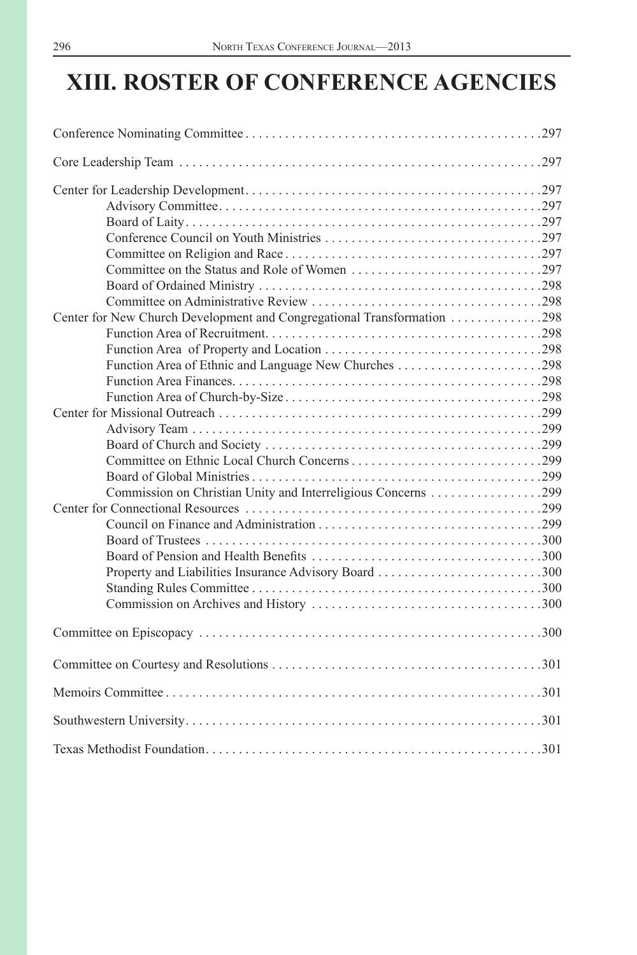# **XIII. ROSTER OF CONFERENCE AGENCIES**

| Function Area of Ethnic and Language New Churches 298 |  |
|-------------------------------------------------------|--|
|                                                       |  |
|                                                       |  |
|                                                       |  |
|                                                       |  |
|                                                       |  |
|                                                       |  |
|                                                       |  |
|                                                       |  |
|                                                       |  |
|                                                       |  |
|                                                       |  |
|                                                       |  |
| Property and Liabilities Insurance Advisory Board 300 |  |
|                                                       |  |
|                                                       |  |
|                                                       |  |
|                                                       |  |
|                                                       |  |
|                                                       |  |
|                                                       |  |
|                                                       |  |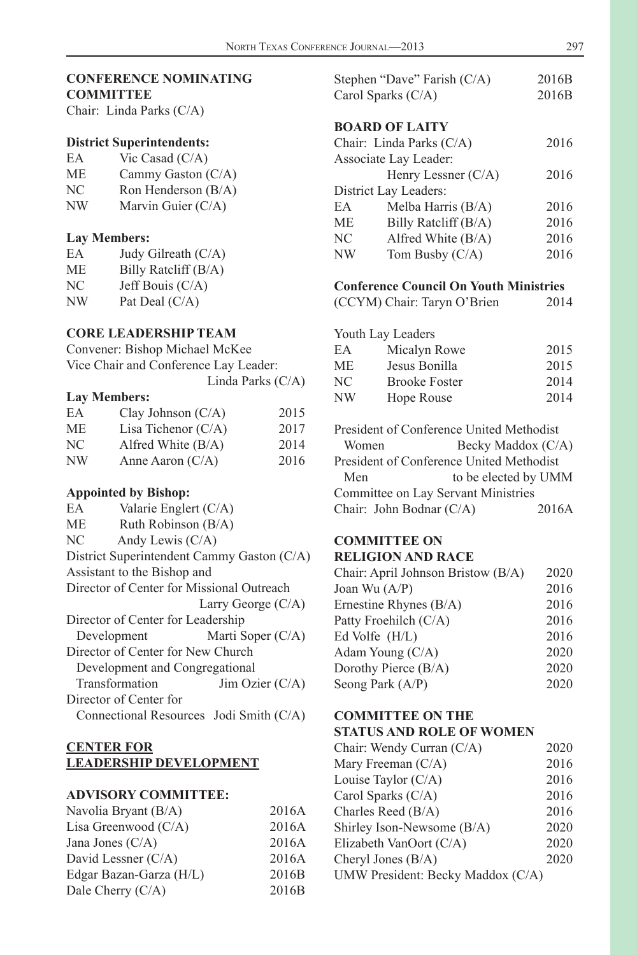<span id="page-1-0"></span>

| <b>CONFERENCE NOMINATING</b> |  |
|------------------------------|--|
| <b>COMMITTEE</b>             |  |

Chair: Linda Parks (C/A)

#### **District Superintendents:**

| ЕA | Vic Casad $(C/A)$ |  |  |
|----|-------------------|--|--|
|    |                   |  |  |

- ME Cammy Gaston (C/A)
- NC Ron Henderson (B/A)
- NW Marvin Guier (C/A)

#### **Lay Members:**

| EA | Judy Gilreath (C/A)  |
|----|----------------------|
| МE | Billy Ratcliff (B/A) |
| NС | Jeff Bouis (C/A)     |
| NW | Pat Deal (C/A)       |

#### **CORE LEADERSHIP TEAM**

Convener: Bishop Michael McKee Vice Chair and Conference Lay Leader: Linda Parks (C/A)

#### **Lay Members:**

| EA | Clay Johnson $(C/A)$  | 2015 |
|----|-----------------------|------|
| МE | Lisa Tichenor $(C/A)$ | 2017 |
| NС | Alfred White $(B/A)$  | 2014 |
| NW | Anne Aaron $(C/A)$    | 2016 |

#### **Appointed by Bishop:**

| EA        | Valarie Englert $(C/A)$                    |                      |
|-----------|--------------------------------------------|----------------------|
| <b>ME</b> | Ruth Robinson (B/A)                        |                      |
| NC        | Andy Lewis $(C/A)$                         |                      |
|           | District Superintendent Cammy Gaston (C/A) |                      |
|           | Assistant to the Bishop and                |                      |
|           | Director of Center for Missional Outreach  |                      |
|           |                                            | Larry George $(C/A)$ |
|           | Director of Center for Leadership          |                      |
|           | Development                                | Marti Soper $(C/A)$  |
|           | Director of Center for New Church          |                      |
|           | Development and Congregational             |                      |
|           | Transformation                             | Jim Ozier $(C/A)$    |
|           | Director of Center for                     |                      |
|           | Connectional Resources Jodi Smith (C/A)    |                      |

#### **CENTER FOR LEADERSHIP DEVELOPMENT**

#### **ADVISORY COMMITTEE:**

| Navolia Bryant (B/A)    | 2016A |
|-------------------------|-------|
| Lisa Greenwood $(C/A)$  | 2016A |
| Jana Jones $(C/A)$      | 2016A |
| David Lessner (C/A)     | 2016A |
| Edgar Bazan-Garza (H/L) | 2016B |
| Dale Cherry $(C/A)$     | 2016B |
|                         |       |

|           | Stephen "Dave" Farish (C/A) | 2016B |
|-----------|-----------------------------|-------|
|           | Carol Sparks $(C/A)$        | 2016B |
|           |                             |       |
|           | <b>BOARD OF LAITY</b>       |       |
|           | Chair: Linda Parks (C/A)    | 2016  |
|           | Associate Lay Leader:       |       |
|           | Henry Lessner (C/A)         | 2016  |
|           | District Lay Leaders:       |       |
| EA        | Melba Harris $(B/A)$        | 2016  |
| <b>ME</b> | Billy Ratcliff (B/A)        | 2016  |
| NC        | Alfred White (B/A)          | 2016  |
| NW        | Tom Busby $(C/A)$           | 2016  |
|           |                             |       |

# **Conference Council On Youth Ministries**

(CCYM) Chair: Taryn O'Brien 2014

|       | Youth Lay Leaders                        |                    |
|-------|------------------------------------------|--------------------|
| EA    | Micalyn Rowe                             | 2015               |
| МE    | Jesus Bonilla                            | 2015               |
| NС    | <b>Brooke Foster</b>                     | 2014               |
| NW    | Hope Rouse                               | 2014               |
|       | President of Conference United Methodist |                    |
| Women |                                          | Becky Maddox (C/A) |
|       | President of Conference United Methodist |                    |

|                          | I IESIUCIII OI COIIIEIEIICE OIIIIEU IVIEUIOUISI |  |
|--------------------------|-------------------------------------------------|--|
| Men                      | to be elected by UMM                            |  |
|                          | Committee on Lay Servant Ministries             |  |
| Chair: John Bodnar (C/A) | 2016A                                           |  |

# **COMMITTEE ON**

#### **RELIGION AND RACE**

| Chair: April Johnson Bristow (B/A) | 2020 |
|------------------------------------|------|
| Joan Wu $(A/P)$                    | 2016 |
| Ernestine Rhynes $(B/A)$           | 2016 |
| Patty Froehilch (C/A)              | 2016 |
| Ed Volfe $(H/L)$                   | 2016 |
| Adam Young $(C/A)$                 | 2020 |
| Dorothy Pierce $(B/A)$             | 2020 |
| Seong Park (A/P)                   | 2020 |

# **COMMITTEE ON THE**

# **STATUS AND ROLE OF WOMEN**

| 2020                              |
|-----------------------------------|
| 2016                              |
| 2016                              |
| 2016                              |
| 2016                              |
| 2020                              |
| 2020                              |
| 2020                              |
|                                   |
| UMW President: Becky Maddox (C/A) |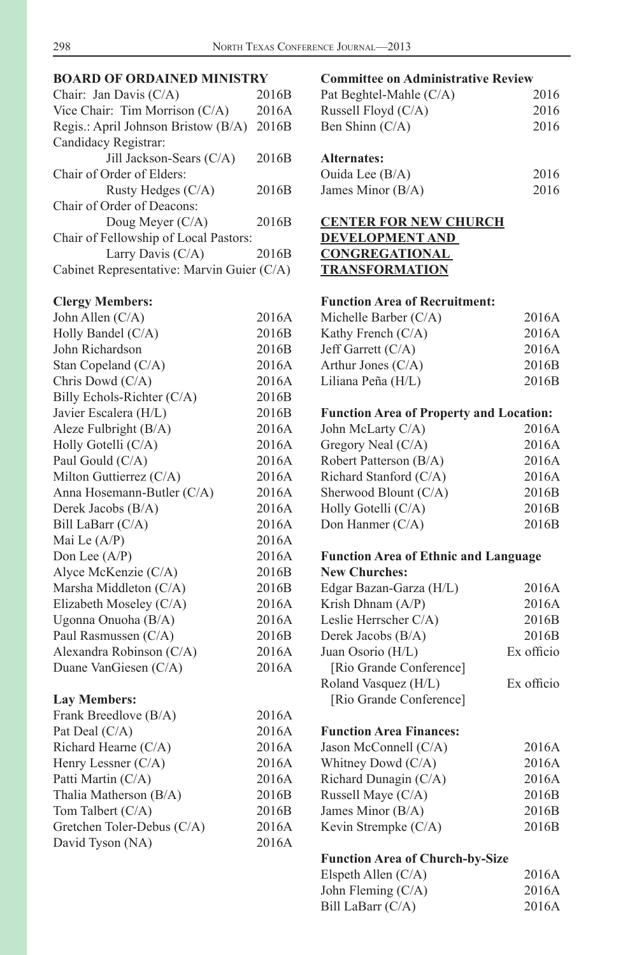# <span id="page-2-0"></span>**BOARD OF ORDAINED MINISTRY**

| Chair: Jan Davis (C/A)                     | 2016 <sub>B</sub> |  |  |
|--------------------------------------------|-------------------|--|--|
| Vice Chair: Tim Morrison $(C/A)$           | 2016A             |  |  |
| Regis.: April Johnson Bristow (B/A)        | 2016B             |  |  |
| Candidacy Registrar:                       |                   |  |  |
| Jill Jackson-Sears (C/A)                   | 2016B             |  |  |
| Chair of Order of Elders:                  |                   |  |  |
| Rusty Hedges $(C/A)$                       | 2016B             |  |  |
| Chair of Order of Deacons:                 |                   |  |  |
| Doug Meyer $(C/A)$                         | 2016 <sub>B</sub> |  |  |
| Chair of Fellowship of Local Pastors:      |                   |  |  |
| Larry Davis $(C/A)$                        | 2016 <sub>B</sub> |  |  |
| Cabinet Representative: Marvin Guier (C/A) |                   |  |  |

#### **Clergy Members:**

| John Allen (C/A)           | 2016A |
|----------------------------|-------|
| Holly Bandel (C/A)         | 2016B |
| John Richardson            | 2016B |
| Stan Copeland (C/A)        | 2016A |
| Chris Dowd (C/A)           | 2016A |
| Billy Echols-Richter (C/A) | 2016B |
| Javier Escalera (H/L)      | 2016B |
| Aleze Fulbright (B/A)      | 2016A |
| Holly Gotelli (C/A)        | 2016A |
| Paul Gould (C/A)           | 2016A |
| Milton Guttierrez (C/A)    | 2016A |
| Anna Hosemann-Butler (C/A) | 2016A |
| Derek Jacobs (B/A)         | 2016A |
| Bill LaBarr (C/A)          | 2016A |
| Mai Le (A/P)               | 2016A |
| Don Lee (A/P)              | 2016A |
| Alyce McKenzie (C/A)       | 2016B |
| Marsha Middleton (C/A)     | 2016B |
| Elizabeth Moseley (C/A)    | 2016A |
| Ugonna Onuoha (B/A)        | 2016A |
| Paul Rasmussen (C/A)       | 2016B |
| Alexandra Robinson (C/A)   | 2016A |
| Duane VanGiesen (C/A)      | 2016A |
| <b>Lay Members:</b>        |       |
| Frank Breedlove (B/A)      | 2016A |
| Pat Deal (C/A)             | 2016A |
| Richard Hearne (C/A)       | 2016A |
| Henry Lessner (C/A)        | 2016A |
| Patti Martin (C/A)         | 2016A |
| Thalia Matherson (B/A)     | 2016B |
| Tom Talbert (C/A)          | 2016B |
| Gretchen Toler-Debus (C/A) | 2016A |
| David Tyson (NA)           | 2016A |

# **Committee on Administrative Review**

| Pat Beghtel-Mahle (C/A) | 2016 |
|-------------------------|------|
| Russell Floyd $(C/A)$   | 2016 |
| Ben Shinn $(C/A)$       | 2016 |

#### **Alternates:**

| Ouida Lee (B/A)   | 2016 |
|-------------------|------|
| James Minor (B/A) | 2016 |

# **CENTER FOR NEW CHURCH DEVELOPMENT AND CONGREGATIONAL TRANSFORMATION**

#### **Function Area of Recruitment:**

| Michelle Barber $(C/A)$ | 2016A             |
|-------------------------|-------------------|
| Kathy French $(C/A)$    | 2016A             |
| Jeff Garrett $(C/A)$    | 2016A             |
| Arthur Jones $(C/A)$    | 2016 <sub>B</sub> |
| Liliana Peña (H/L)      | 2016B             |
|                         |                   |

#### **Function Area of Property and Location:**

| John McLarty C/A)      | 2016A |
|------------------------|-------|
| Gregory Neal $(C/A)$   | 2016A |
| Robert Patterson (B/A) | 2016A |
| Richard Stanford (C/A) | 2016A |
| Sherwood Blount (C/A)  | 2016B |
| Holly Gotelli (C/A)    | 2016B |
| Don Hanmer $(C/A)$     | 2016B |
|                        |       |

# **Function Area of Ethnic and Language**

| <b>New Churches:</b>    |            |
|-------------------------|------------|
| Edgar Bazan-Garza (H/L) | 2016A      |
| Krish Dhnam $(A/P)$     | 2016A      |
| Leslie Herrscher C/A)   | 2016B      |
| Derek Jacobs (B/A)      | 2016B      |
| Juan Osorio (H/L)       | Ex officio |
| [Rio Grande Conference] |            |
| Roland Vasquez (H/L)    | Ex officio |
| [Rio Grande Conference] |            |
|                         |            |

#### **Function Area Finances:**

| 2016A |
|-------|
| 2016A |
| 2016A |
| 2016B |
| 2016B |
| 2016B |
|       |

### **Function Area of Church-by-Size**

| Elspeth Allen $(C/A)$ | 2016A |
|-----------------------|-------|
| John Fleming (C/A)    | 2016A |
| Bill LaBarr (C/A)     | 2016A |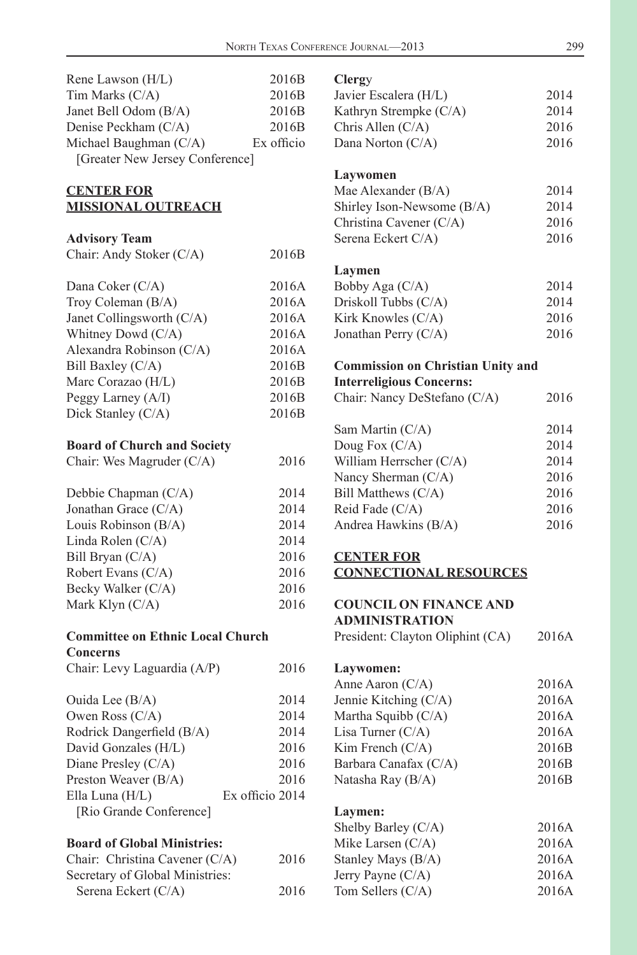<span id="page-3-0"></span>

| Rene Lawson (H/L)                           | 2016B           | Clergy                                       |       |
|---------------------------------------------|-----------------|----------------------------------------------|-------|
| Tim Marks (C/A)                             | 2016B           | Javier Escalera (H/L)                        | 2014  |
| Janet Bell Odom (B/A)                       | 2016B           | Kathryn Strempke (C/A)                       | 2014  |
| Denise Peckham (C/A)                        | 2016B           | Chris Allen (C/A)                            | 2016  |
| Michael Baughman (C/A)                      | Ex officio      | Dana Norton (C/A)                            | 2016  |
| [Greater New Jersey Conference]             |                 |                                              |       |
|                                             |                 | Laywomen                                     |       |
| <b>CENTER FOR</b>                           |                 | Mae Alexander (B/A)                          | 2014  |
| <b>MISSIONAL OUTREACH</b>                   |                 | Shirley Ison-Newsome (B/A)                   | 2014  |
|                                             |                 | Christina Cavener (C/A)                      | 2016  |
| <b>Advisory Team</b>                        |                 | Serena Eckert C/A)                           | 2016  |
| Chair: Andy Stoker (C/A)                    | 2016B           |                                              |       |
|                                             |                 | Laymen                                       |       |
| Dana Coker (C/A)                            | 2016A           | Bobby Aga (C/A)                              | 2014  |
| Troy Coleman (B/A)                          | 2016A           | Driskoll Tubbs (C/A)                         | 2014  |
| Janet Collingsworth (C/A)                   | 2016A           | Kirk Knowles (C/A)                           | 2016  |
| Whitney Dowd (C/A)                          | 2016A           | Jonathan Perry (C/A)                         | 2016  |
| Alexandra Robinson (C/A)                    | 2016A           |                                              |       |
| Bill Baxley (C/A)                           | 2016B           | <b>Commission on Christian Unity and</b>     |       |
| Marc Corazao (H/L)                          | 2016B           | <b>Interreligious Concerns:</b>              |       |
| Peggy Larney (A/I)                          | 2016B           | Chair: Nancy DeStefano (C/A)                 | 2016  |
| Dick Stanley (C/A)                          | 2016B           |                                              |       |
|                                             |                 | Sam Martin (C/A)                             | 2014  |
| <b>Board of Church and Society</b>          |                 | Doug Fox (C/A)                               | 2014  |
| Chair: Wes Magruder (C/A)                   | 2016            | William Herrscher (C/A)                      | 2014  |
|                                             |                 | Nancy Sherman (C/A)                          | 2016  |
| Debbie Chapman (C/A)                        | 2014            | Bill Matthews (C/A)                          | 2016  |
| Jonathan Grace (C/A)                        | 2014            | Reid Fade (C/A)                              | 2016  |
| Louis Robinson (B/A)                        | 2014            | Andrea Hawkins (B/A)                         | 2016  |
| Linda Rolen (C/A)                           | 2014            |                                              |       |
| Bill Bryan (C/A)                            | 2016            | <b>CENTER FOR</b>                            |       |
| Robert Evans (C/A)                          | 2016            | <b>CONNECTIONAL RESOURCES</b>                |       |
| Becky Walker (C/A)                          | 2016            |                                              |       |
| Mark Klyn (C/A)                             | 2016            | <b>COUNCIL ON FINANCE AND</b>                |       |
|                                             |                 | <b>ADMINISTRATION</b>                        |       |
| <b>Committee on Ethnic Local Church</b>     |                 | President: Clayton Oliphint (CA)             | 2016A |
| <b>Concerns</b>                             |                 |                                              |       |
| Chair: Levy Laguardia (A/P)                 | 2016            | Laywomen:                                    |       |
|                                             |                 | Anne Aaron (C/A)                             | 2016A |
| Ouida Lee (B/A)                             | 2014            | Jennie Kitching (C/A)<br>Martha Squibb (C/A) | 2016A |
| Owen Ross (C/A)                             | 2014            | Lisa Turner (C/A)                            | 2016A |
| Rodrick Dangerfield (B/A)                   | 2014            |                                              | 2016A |
| David Gonzales (H/L)                        | 2016<br>2016    | Kim French (C/A)                             | 2016B |
| Diane Presley (C/A)<br>Preston Weaver (B/A) | 2016            | Barbara Canafax (C/A)                        | 2016B |
|                                             | Ex officio 2014 | Natasha Ray (B/A)                            | 2016B |
| Ella Luna (H/L)<br>[Rio Grande Conference]  |                 |                                              |       |
|                                             |                 | Laymen:<br>Shelby Barley (C/A)               | 2016A |
| <b>Board of Global Ministries:</b>          |                 | Mike Larsen (C/A)                            | 2016A |
| Chair: Christina Cavener (C/A)              | 2016            | Stanley Mays (B/A)                           | 2016A |
| Secretary of Global Ministries:             |                 | Jerry Payne (C/A)                            | 2016A |
|                                             |                 |                                              |       |

Tom Sellers (C/A) 2016A

Serena Eckert (C/A) 2016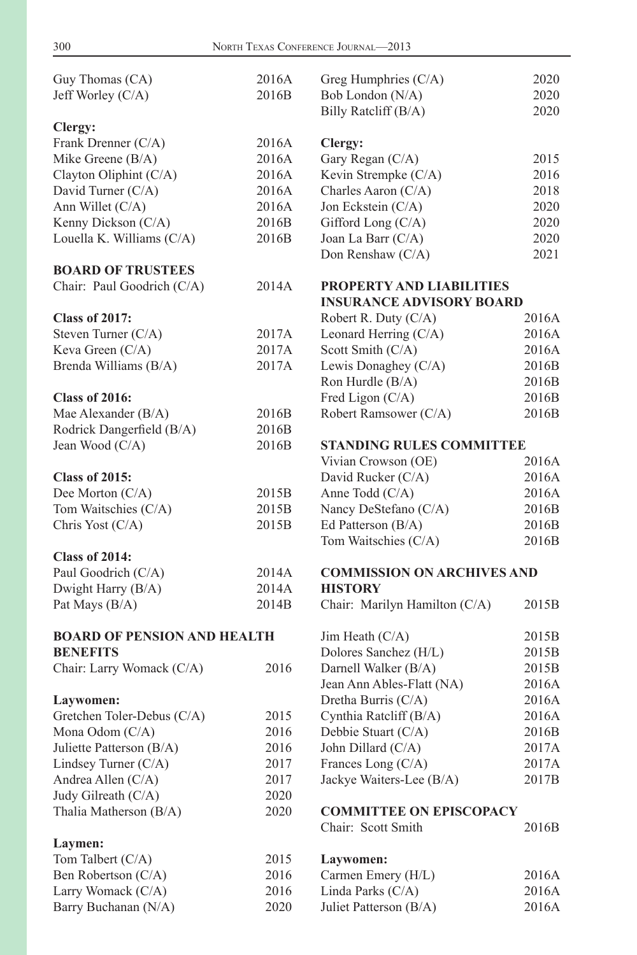<span id="page-4-0"></span>

| Guy Thomas (CA)                         | 2016A | Greg Humphries (C/A)                              | 2020  |
|-----------------------------------------|-------|---------------------------------------------------|-------|
| Jeff Worley (C/A)                       | 2016B | Bob London (N/A)                                  | 2020  |
|                                         |       | Billy Ratcliff (B/A)                              | 2020  |
| Clergy:                                 |       |                                                   |       |
| Frank Drenner (C/A)                     | 2016A | Clergy:                                           |       |
| Mike Greene (B/A)                       | 2016A | Gary Regan (C/A)                                  | 2015  |
| Clayton Oliphint (C/A)                  | 2016A | Kevin Strempke (C/A)                              | 2016  |
| David Turner (C/A)                      | 2016A | Charles Aaron (C/A)                               | 2018  |
| Ann Willet (C/A)                        | 2016A | Jon Eckstein (C/A)                                | 2020  |
| Kenny Dickson (C/A)                     | 2016B | Gifford Long (C/A)                                | 2020  |
| Louella K. Williams (C/A)               | 2016B | Joan La Barr (C/A)                                | 2020  |
|                                         |       | Don Renshaw (C/A)                                 | 2021  |
| <b>BOARD OF TRUSTEES</b>                |       |                                                   |       |
| Chair: Paul Goodrich (C/A)              | 2014A | PROPERTY AND LIABILITIES                          |       |
|                                         |       | <b>INSURANCE ADVISORY BOARD</b>                   |       |
| <b>Class of 2017:</b>                   |       | Robert R. Duty (C/A)                              | 2016A |
| Steven Turner (C/A)                     | 2017A | Leonard Herring (C/A)                             | 2016A |
| Keva Green (C/A)                        | 2017A | Scott Smith (C/A)                                 | 2016A |
| Brenda Williams (B/A)                   | 2017A | Lewis Donaghey (C/A)                              | 2016B |
|                                         |       | Ron Hurdle (B/A)                                  | 2016B |
| <b>Class of 2016:</b>                   |       | Fred Ligon (C/A)                                  | 2016B |
| Mae Alexander (B/A)                     | 2016B | Robert Ramsower (C/A)                             | 2016B |
| Rodrick Dangerfield (B/A)               | 2016B |                                                   |       |
| Jean Wood (C/A)                         | 2016B | <b>STANDING RULES COMMITTEE</b>                   |       |
|                                         |       | Vivian Crowson (OE)                               | 2016A |
| <b>Class of 2015:</b>                   |       | David Rucker (C/A)                                | 2016A |
| Dee Morton (C/A)                        | 2015B | Anne Todd (C/A)                                   | 2016A |
| Tom Waitschies (C/A)                    | 2015B | Nancy DeStefano (C/A)                             | 2016B |
| Chris Yost (C/A)                        | 2015B | Ed Patterson (B/A)                                | 2016B |
|                                         |       | Tom Waitschies (C/A)                              | 2016B |
| <b>Class of 2014:</b>                   |       |                                                   |       |
| Paul Goodrich (C/A)                     | 2014A | <b>COMMISSION ON ARCHIVES AND</b>                 |       |
| Dwight Harry (B/A)                      | 2014A | <b>HISTORY</b>                                    |       |
| Pat Mays (B/A)                          | 2014B | Chair: Marilyn Hamilton (C/A)                     | 2015B |
| <b>BOARD OF PENSION AND HEALTH</b>      |       | Jim Heath $(C/A)$                                 | 2015B |
| <b>BENEFITS</b>                         |       | Dolores Sanchez (H/L)                             | 2015B |
|                                         | 2016  |                                                   | 2015B |
| Chair: Larry Womack (C/A)               |       | Darnell Walker (B/A)<br>Jean Ann Ables-Flatt (NA) | 2016A |
|                                         |       |                                                   | 2016A |
| Laywomen:<br>Gretchen Toler-Debus (C/A) | 2015  | Dretha Burris (C/A)                               | 2016A |
|                                         | 2016  | Cynthia Ratcliff (B/A)                            | 2016B |
| Mona Odom (C/A)                         |       | Debbie Stuart (C/A)                               |       |
| Juliette Patterson (B/A)                | 2016  | John Dillard (C/A)                                | 2017A |
| Lindsey Turner (C/A)                    | 2017  | Frances Long (C/A)                                | 2017A |
| Andrea Allen (C/A)                      | 2017  | Jackye Waiters-Lee (B/A)                          | 2017B |
| Judy Gilreath (C/A)                     | 2020  |                                                   |       |
| Thalia Matherson (B/A)                  | 2020  | <b>COMMITTEE ON EPISCOPACY</b>                    |       |
| Laymen:                                 |       | Chair: Scott Smith                                | 2016B |
| Tom Talbert (C/A)                       | 2015  | Laywomen:                                         |       |
| Ben Robertson (C/A)                     | 2016  | Carmen Emery (H/L)                                | 2016A |
| Larry Womack (C/A)                      | 2016  | Linda Parks (C/A)                                 | 2016A |
| Barry Buchanan (N/A)                    | 2020  | Juliet Patterson (B/A)                            | 2016A |
|                                         |       |                                                   |       |